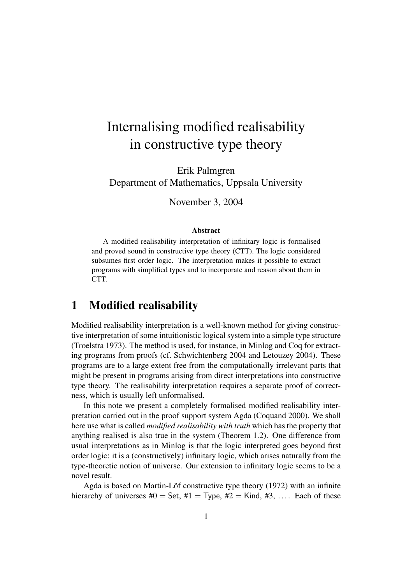# Internalising modified realisability in constructive type theory

Erik Palmgren Department of Mathematics, Uppsala University

November 3, 2004

#### Abstract

A modified realisability interpretation of infinitary logic is formalised and proved sound in constructive type theory (CTT). The logic considered subsumes first order logic. The interpretation makes it possible to extract programs with simplified types and to incorporate and reason about them in CTT.

## 1 Modified realisability

Modified realisability interpretation is a well-known method for giving constructive interpretation of some intuitionistic logical system into a simple type structure (Troelstra 1973). The method is used, for instance, in Minlog and Coq for extracting programs from proofs (cf. Schwichtenberg 2004 and Letouzey 2004). These programs are to a large extent free from the computationally irrelevant parts that might be present in programs arising from direct interpretations into constructive type theory. The realisability interpretation requires a separate proof of correctness, which is usually left unformalised.

In this note we present a completely formalised modified realisability interpretation carried out in the proof support system Agda (Coquand 2000). We shall here use what is called *modified realisability with truth* which has the property that anything realised is also true in the system (Theorem 1.2). One difference from usual interpretations as in Minlog is that the logic interpreted goes beyond first order logic: it is a (constructively) infinitary logic, which arises naturally from the type-theoretic notion of universe. Our extension to infinitary logic seems to be a novel result.

Agda is based on Martin-Löf constructive type theory (1972) with an infinite hierarchy of universes  $\#0 =$  Set,  $\#1 =$  Type,  $\#2 =$  Kind,  $\#3, \ldots$ . Each of these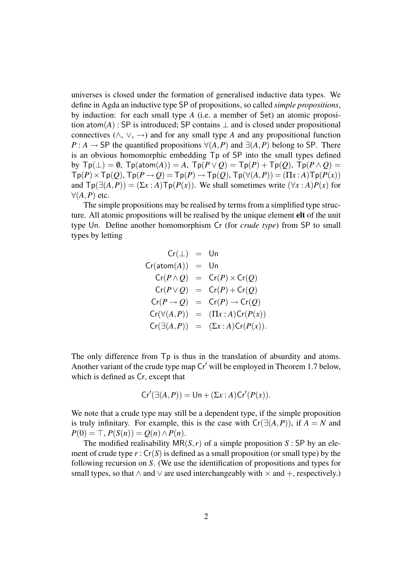universes is closed under the formation of generalised inductive data types. We define in Agda an inductive type SP of propositions, so called *simple propositions*, by induction: for each small type *A* (i.e. a member of Set) an atomic proposition atom(*A*) : SP is introduced; SP contains  $\perp$  and is closed under propositional connectives ( $\land$ ,  $\lor$ ,  $\rightarrow$ ) and for any small type *A* and any propositional function *P* : *A* → SP the quantified propositions  $\forall$ (*A*,*P*) and  $\exists$ (*A*,*P*) belong to SP. There is an obvious homomorphic embedding Tp of SP into the small types defined by  $\text{Tp}(\perp) = \emptyset$ ,  $\text{Tp}(\text{atom}(A)) = A$ ,  $\text{Tp}(P \vee Q) = \text{Tp}(P) + \text{Tp}(Q)$ ,  $\text{Tp}(P \wedge Q) =$  $\text{Tp}(P) \times \text{Tp}(Q)$ ,  $\text{Tp}(P \rightarrow Q) = \text{Tp}(P) \rightarrow \text{Tp}(Q)$ ,  $\text{Tp}(\forall (A, P)) = (\Pi x : A) \text{Tp}(P(x))$ and  $\text{Tp}(\exists(A, P)) = (\Sigma x : A) \text{Tp}(P(x))$ . We shall sometimes write  $(\forall x : A)P(x)$  for ∀(*A*,*P*) etc.

The simple propositions may be realised by terms from a simplified type structure. All atomic propositions will be realised by the unique element elt of the unit type Un. Define another homomorphism Cr (for *crude type*) from SP to small types by letting

$$
Cr(\pm) = Un
$$
  
\n
$$
Cr(atom(A)) = Un
$$
  
\n
$$
Cr(P \wedge Q) = Cr(P) \times Cr(Q)
$$
  
\n
$$
Cr(P \vee Q) = Cr(P) + Cr(Q)
$$
  
\n
$$
Cr(P \rightarrow Q) = Cr(P) \rightarrow Cr(Q)
$$
  
\n
$$
Cr(\forall(A, P)) = (Tx : A)Cr(P(x))
$$
  
\n
$$
Cr(\exists(A, P)) = (\Sigma x : A)Cr(P(x)).
$$

The only difference from Tp is thus in the translation of absurdity and atoms. Another variant of the crude type map  $Cr'$  will be employed in Theorem 1.7 below, which is defined as Cr, except that

$$
Cr'(\exists(A,P)) = Un + (\Sigma x : A) Cr'(P(x)).
$$

We note that a crude type may still be a dependent type, if the simple proposition is truly infinitary. For example, this is the case with  $Cr(\exists (A, P))$ , if  $A = N$  and  $P(0) = T$ ,  $P(S(n)) = Q(n) \wedge P(n)$ .

The modified realisability  $MR(S, r)$  of a simple proposition *S* : SP by an element of crude type  $r : Cr(S)$  is defined as a small proposition (or small type) by the following recursion on *S*. (We use the identification of propositions and types for small types, so that  $\land$  and  $\lor$  are used interchangeably with  $\times$  and  $+$ , respectively.)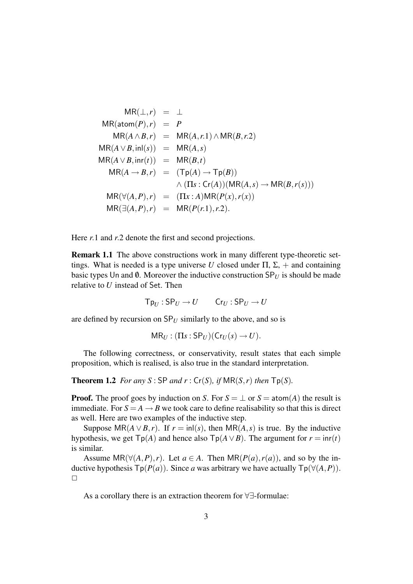$$
MR(\pm, r) = \pm
$$
  
\n
$$
MR(atom(P), r) = P
$$
  
\n
$$
MR(A \wedge B, r) = MR(A, r.1) \wedge MR(B, r.2)
$$
  
\n
$$
MR(A \vee B, \text{inl}(s)) = MR(A, s)
$$
  
\n
$$
MR(A \vee B, \text{inr}(t)) = MR(B, t)
$$
  
\n
$$
MR(A \rightarrow B, r) = (Tp(A) \rightarrow Tp(B))
$$
  
\n
$$
\wedge (\Pi s : Cr(A)) (MR(A, s) \rightarrow MR(B, r(s)))
$$
  
\n
$$
MR(\forall (A, P), r) = (\Pi x : A) MR(P(x), r(x))
$$
  
\n
$$
MR(\exists (A, P), r) = MR(P(r.1), r.2).
$$

Here *r*.1 and *r*.2 denote the first and second projections.

Remark 1.1 The above constructions work in many different type-theoretic settings. What is needed is a type universe *U* closed under  $\Pi$ ,  $\Sigma$ , + and containing basic types Un and  $\emptyset$ . Moreover the inductive construction  $SP_U$  is should be made relative to *U* instead of Set. Then

 $T_{PI}$ :  $SP_U \rightarrow U$   $Cr_U$ :  $SP_U \rightarrow U$ 

are defined by recursion on  $SP_{U}$  similarly to the above, and so is

```
MR_U : (\Pi s : SP_U)(Cr_U(s) \rightarrow U).
```
The following correctness, or conservativity, result states that each simple proposition, which is realised, is also true in the standard interpretation.

**Theorem 1.2** *For any S* : SP *and*  $r$  : Cr(*S*)*, if* MR(*S*,*r*) *then*  $\text{Tp}(S)$ *.* 

**Proof.** The proof goes by induction on *S*. For  $S = \perp$  or  $S = \text{atom}(A)$  the result is immediate. For  $S = A \rightarrow B$  we took care to define realisability so that this is direct as well. Here are two examples of the inductive step.

Suppose  $MR(A \vee B, r)$ . If  $r = in|(s)$ , then  $MR(A, s)$  is true. By the inductive hypothesis, we get  $\text{Tp}(A)$  and hence also  $\text{Tp}(A \lor B)$ . The argument for  $r = \text{inr}(t)$ is similar.

Assume  $MR(\forall (A, P), r)$ . Let  $a \in A$ . Then  $MR(P(a), r(a))$ , and so by the inductive hypothesis  $\text{Tp}(P(a))$ . Since *a* was arbitrary we have actually  $\text{Tp}(\forall (A, P))$ .  $\Box$ 

As a corollary there is an extraction theorem for ∀∃-formulae: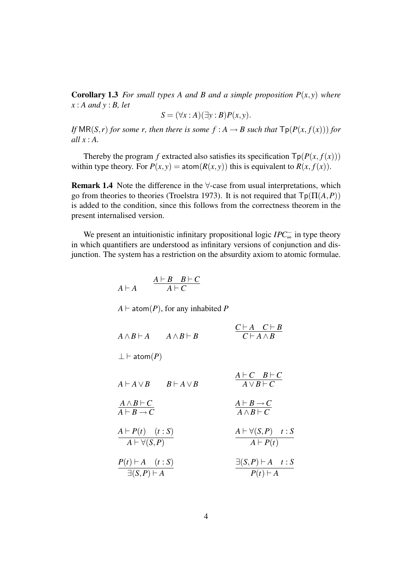**Corollary 1.3** *For small types A and B and a simple proposition*  $P(x, y)$  *where x* : *A and y* : *B, let*

$$
S = (\forall x : A)(\exists y : B)P(x, y).
$$

*If*  $MR(S,r)$  *for some r, then there is some*  $f : A \rightarrow B$  *such that*  $\text{Tr}(P(x, f(x)))$  *for all x* : *A.*

Thereby the program *f* extracted also satisfies its specification  $\text{Tp}(P(x, f(x)))$ within type theory. For  $P(x, y) = \text{atom}(R(x, y))$  this is equivalent to  $R(x, f(x))$ .

**Remark 1.4** Note the difference in the  $\forall$ -case from usual interpretations, which go from theories to theories (Troelstra 1973). It is not required that  $\mathsf{Tp}(\Pi(A, P))$ is added to the condition, since this follows from the correctness theorem in the present internalised version.

We present an intuitionistic infinitary propositional logic *IPC*<sub>∞</sub> in type theory in which quantifiers are understood as infinitary versions of conjunction and disjunction. The system has a restriction on the absurdity axiom to atomic formulae.

| $A \vdash A$                                                  | $\frac{A \vdash B \quad B \vdash C}{A \vdash C}$ |                                                                 |
|---------------------------------------------------------------|--------------------------------------------------|-----------------------------------------------------------------|
|                                                               | $A \vdash$ atom(P), for any inhabited P          |                                                                 |
|                                                               | $A \wedge B \vdash A$ $A \wedge B \vdash B$      | $\frac{C\vdash A\quad C\vdash B}{C\vdash A\land B}$             |
| $\perp \vdash \mathsf{atom}(P)$                               |                                                  |                                                                 |
|                                                               | $A \vdash A \vee B$ $B \vdash A \vee B$          | $\frac{A \vdash C \quad B \vdash C}{A \lor B \vdash C}$         |
| $\frac{A \wedge B \vdash C}{A \vdash B \rightarrow C}$        |                                                  | $\frac{A \vdash B \to C}{A \land B \vdash C}$                   |
| $\frac{A \vdash P(t) \quad (t : S)}{A \vdash \forall (S, P)}$ |                                                  | $A \vdash \forall (S, P) \quad t : S$<br>$A \vdash P(t)$        |
| $\frac{P(t) \vdash A \quad (t : S)}{\exists (S, P) \vdash A}$ |                                                  | $\exists (S,P)\vdash A \quad t:S$<br>$\overline{P(t) \vdash A}$ |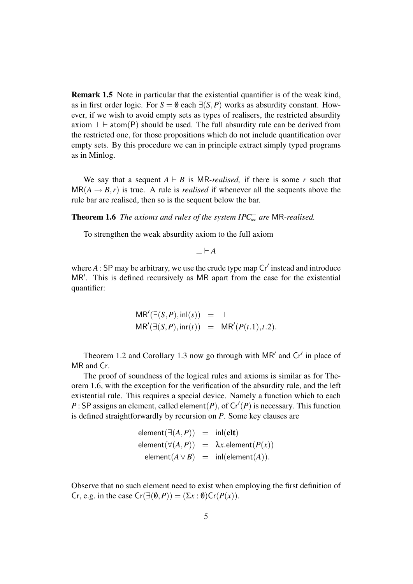Remark 1.5 Note in particular that the existential quantifier is of the weak kind, as in first order logic. For  $S = \emptyset$  each  $\exists (S, P)$  works as absurdity constant. However, if we wish to avoid empty sets as types of realisers, the restricted absurdity axiom  $\perp \vdash$  atom(P) should be used. The full absurdity rule can be derived from the restricted one, for those propositions which do not include quantification over empty sets. By this procedure we can in principle extract simply typed programs as in Minlog.

We say that a sequent  $A \vdash B$  is MR-*realised*, if there is some *r* such that  $MR(A \rightarrow B,r)$  is true. A rule is *realised* if whenever all the sequents above the rule bar are realised, then so is the sequent below the bar.

Theorem 1.6 *The axioms and rules of the system IPC*<sup>−</sup> <sup>∞</sup> *are* MR*-realised.*

To strengthen the weak absurdity axiom to the full axiom

 $I \vdash A$ 

where  $A$ : SP may be arbitrary, we use the crude type map  $Cr'$  instead and introduce MR'. This is defined recursively as MR apart from the case for the existential quantifier:

$$
MR'(\exists (S, P), \text{inl}(s)) = \bot
$$
  

$$
MR'(\exists (S, P), \text{inr}(t)) = MR'(P(t.1), t.2).
$$

Theorem 1.2 and Corollary 1.3 now go through with  $MR'$  and  $Cr'$  in place of MR and Cr.

The proof of soundness of the logical rules and axioms is similar as for Theorem 1.6, with the exception for the verification of the absurdity rule, and the left existential rule. This requires a special device. Namely a function which to each  $P$ : SP assigns an element, called element(*P*), of  $Cr'(P)$  is necessary. This function is defined straightforwardly by recursion on *P*. Some key clauses are

$$
\begin{array}{rcl}\n\mathsf{element}(\exists(A,P)) & = & \mathsf{inl}(\mathsf{elt}) \\
\mathsf{element}(\forall(A,P)) & = & \lambda x.\mathsf{element}(P(x)) \\
\mathsf{element}(A \lor B) & = & \mathsf{inl}(\mathsf{element}(A)).\n\end{array}
$$

Observe that no such element need to exist when employing the first definition of Cr, e.g. in the case  $Cr(\exists (\emptyset, P)) = (\Sigma x : \emptyset) Cr(P(x)).$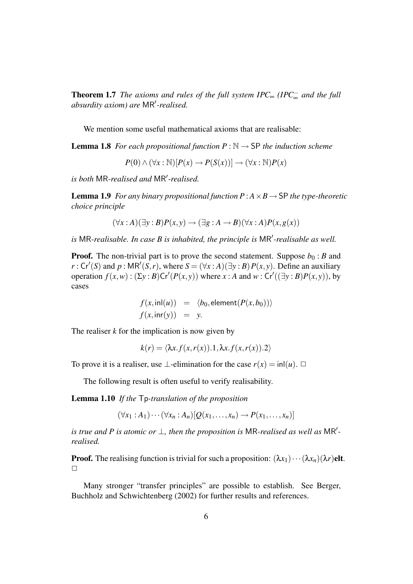**Theorem 1.7** *The axioms and rules of the full system IPC* $_{\infty}$  *(IPC* $_{\infty}^-$  *and the full* absurdity axiom) are MR'-realised.

We mention some useful mathematical axioms that are realisable:

**Lemma 1.8** *For each propositional function P* :  $\mathbb{N} \rightarrow$  SP *the induction scheme* 

 $P(0) \wedge (\forall x : \mathbb{N})[P(x) \rightarrow P(S(x))] \rightarrow (\forall x : \mathbb{N})P(x)$ 

*is both* MR-realised and MR'-realised.

**Lemma 1.9** *For any binary propositional function P* :  $A \times B \rightarrow SP$  *the type-theoretic choice principle*

$$
(\forall x:A)(\exists y:B)P(x,y) \rightarrow (\exists g:A \rightarrow B)(\forall x:A)P(x,g(x))
$$

is MR-realisable. In case B is inhabited, the principle is MR<sup>'</sup>-realisable as well.

**Proof.** The non-trivial part is to prove the second statement. Suppose  $b_0 : B$  and  $r: Cr'(S)$  and  $p: MR'(S,r)$ , where  $S = (\forall x:A)(\exists y:B)P(x,y)$ . Define an auxiliary operation  $f(x, w)$ :  $(\Sigma y : B)Cr'(P(x, y))$  where  $x : A$  and  $w : C'((\exists y : B)P(x, y))$ , by cases

$$
f(x, \text{inl}(u)) = \langle b_0, \text{element}(P(x, b_0)) \rangle
$$
  

$$
f(x, \text{inr}(y)) = y.
$$

The realiser  $k$  for the implication is now given by

$$
k(r) = \langle \lambda x.f(x,r(x)).1, \lambda x.f(x,r(x)).2 \rangle
$$

To prove it is a realiser, use  $\bot$ -elimination for the case  $r(x) = \text{inl}(u)$ .  $\Box$ 

The following result is often useful to verify realisability.

Lemma 1.10 *If the* Tp*-translation of the proposition*

 $(\forall x_1 : A_1) \cdots (\forall x_n : A_n) [O(x_1, \ldots, x_n) \rightarrow P(x_1, \ldots, x_n)]$ 

*is true and P is atomic or*  $\perp$ , then the proposition is MR-realised as well as MR<sup>'</sup>*realised.*

**Proof.** The realising function is trivial for such a proposition:  $(\lambda x_1) \cdots (\lambda x_n)(\lambda r)$ elt.  $\Box$ 

Many stronger "transfer principles" are possible to establish. See Berger, Buchholz and Schwichtenberg (2002) for further results and references.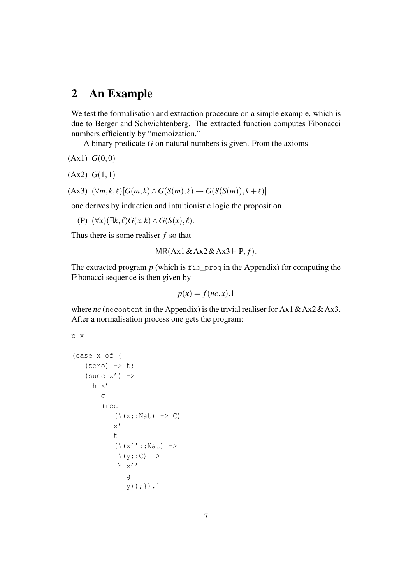## 2 An Example

We test the formalisation and extraction procedure on a simple example, which is due to Berger and Schwichtenberg. The extracted function computes Fibonacci numbers efficiently by "memoization."

A binary predicate *G* on natural numbers is given. From the axioms

 $(Ax1) G(0,0)$ 

 $(Ax2)$   $G(1,1)$ 

$$
(\text{Ax3}) \ (\forall m, k, \ell) [G(m, k) \wedge G(S(m), \ell) \rightarrow G(S(S(m)), k + \ell)].
$$

one derives by induction and intuitionistic logic the proposition

(P)  $(\forall x)(\exists k, \ell) G(x, k) \wedge G(S(x), \ell).$ 

Thus there is some realiser *f* so that

$$
MR(Ax1 \& Ax2 \& Ax3 \vdash P, f).
$$

The extracted program *p* (which is fib\_prog in the Appendix) for computing the Fibonacci sequence is then given by

$$
p(x) = f(nc, x).1
$$

where *nc* (nocontent in the Appendix) is the trivial realiser for Ax1 & Ax2 & Ax3. After a normalisation process one gets the program:

```
p x =(case x of {
     (zero) \rightarrow t;(succ x') \rightarrowh x'
           g
           (rec
                (\setminus (z::Nat) \rightarrow C)x'
                t
                (\{x'':: \mathbb{N}at\}) \rightarrow\setminus (y::C) ->
                 h x''
                     g
                     y));}).1
```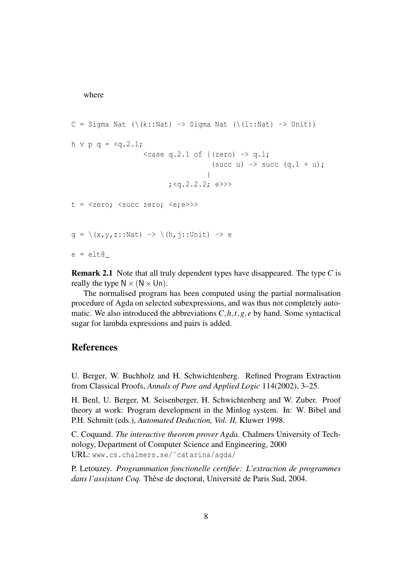where

```
C = Sigma Nat (\{k::Nat) \rightarrow Signa Nat (\{l::Nat) \rightarrow Unit\})h v p q = \langle q.2.1;\langle \text{case q.2.1 of } \{(\text{zero}) \rightarrow \text{q.1}; \}(succ u) \rightarrow succ (q.1 + u);
                                                   }
                                     ; <b>q.2.2.2;</b> e \rightarrow>t = \langle zero; \angle succ zero; \langle e; e \rangleq = \{(x, y, z::Nat) \rightarrow \{(h, j::Unit) \rightarrow ee = elt0
```
Remark 2.1 Note that all truly dependent types have disappeared. The type *C* is really the type  $N \times (N \times Un)$ .

The normalised program has been computed using the partial normalisation procedure of Agda on selected subexpressions, and was thus not completely automatic. We also introduced the abbreviations  $C, h, t, g, e$  by hand. Some syntactical sugar for lambda expressions and pairs is added.

#### References

U. Berger, W. Buchholz and H. Schwichtenberg. Refined Program Extraction from Classical Proofs, *Annals of Pure and Applied Logic* 114(2002), 3–25.

H. Benl, U. Berger, M. Seisenberger, H. Schwichtenberg and W. Zuber. Proof theory at work: Program development in the Minlog system. In: W. Bibel and P.H. Schmitt (eds.), *Automated Deduction, Vol. II,* Kluwer 1998.

C. Coquand. *The interactive theorem prover Agda.* Chalmers University of Technology, Department of Computer Science and Engineering, 2000 URL: www.cs.chalmers.se/˜catarina/agda/

P. Letouzey. *Programmation fonctionelle certifiée: L'extraction de programmes dans l'assistant Coq.* Thèse de doctorat, Université de Paris Sud, 2004.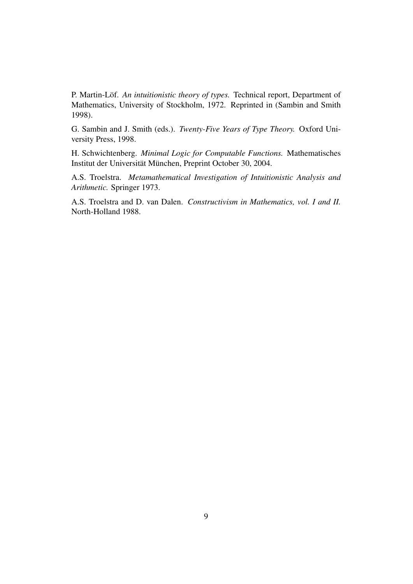P. Martin-Löf. *An intuitionistic theory of types.* Technical report, Department of Mathematics, University of Stockholm, 1972. Reprinted in (Sambin and Smith 1998).

G. Sambin and J. Smith (eds.). *Twenty-Five Years of Type Theory.* Oxford University Press, 1998.

H. Schwichtenberg. *Minimal Logic for Computable Functions.* Mathematisches Institut der Universität München, Preprint October 30, 2004.

A.S. Troelstra. *Metamathematical Investigation of Intuitionistic Analysis and Arithmetic.* Springer 1973.

A.S. Troelstra and D. van Dalen. *Constructivism in Mathematics, vol. I and II.* North-Holland 1988.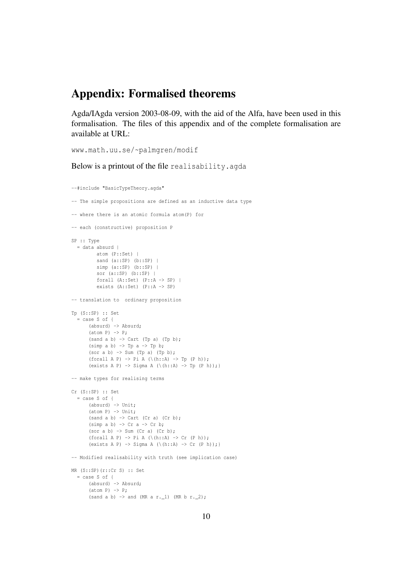## Appendix: Formalised theorems

Agda/IAgda version 2003-08-09, with the aid of the Alfa, have been used in this formalisation. The files of this appendix and of the complete formalisation are available at URL:

www.math.uu.se/~palmgren/modif

#### Below is a printout of the file realisability.agda

```
--#include "BasicTypeTheory.agda"
-- The simple propositions are defined as an inductive data type
-- where there is an atomic formula atom(P) for
-- each (constructive) proposition P
SP :: Type
  = data absurd |
         atom (P::Set) |
          sand (a::SP) (b::SP) |
          simp (a::SP) (b::SP) |
          sor (a::SP) (b::SP) |
          forall (A::Set) (P::A -> SP) |
          exists (A::Set) (P::A -> SP)
-- translation to ordinary proposition
Tp (S::SP) :: Set
  = case S of {
       (absurd) -> Absurd;
       (atom P) \rightarrow P;(sand a b) \rightarrow Cart (Tp a) (Tp b);
       (simp a b) \rightarrow Tp a \rightarrow Tp b;
       (sor a b) \rightarrow Sum (Tp a) (Tp b);
       (forall A P) \rightarrow Pi A (\(h::A) \rightarrow Tp (P h));
       (exists A P) \rightarrow Sigma A (\(h::A) \rightarrow Tp (P h));}
-- make types for realising terms
Cr (S::SP) :: Set
  = case S of {
       (absurd) -> Unit;
       (atom P) \rightarrow Unit;(sand a b) \rightarrow Cart (Cr a) (Cr b);
       (simp a b) \rightarrow Cr a \rightarrow Cr b;(\text{sor a b}) \rightarrow \text{Sum (Cr a) (Cr b)};
       (forall A P) \rightarrow Pi A (\(h::A) \rightarrow Cr (P h));
       (exists A P) \rightarrow Sigma A (\(h::A) \rightarrow Cr (P h));}
-- Modified realisability with truth (see implication case)
MR (S::SP)(r::Cr S) :: Set
  = case S of {
      (absurd) -> Absurd;
       (atom P) \rightarrow P;(sand a b) \rightarrow and (MR a r. 1) (MR b r. 2);
```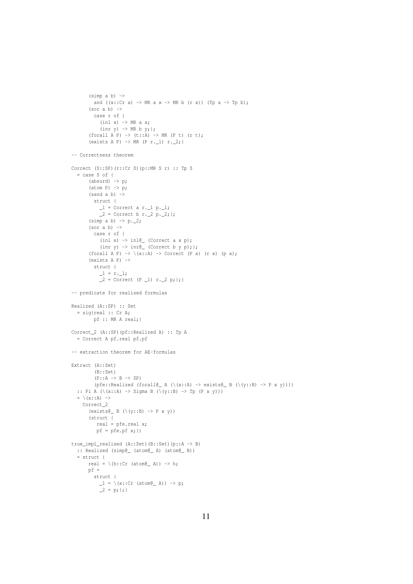```
and ((x::Cr a) \rightarrow MR a x \rightarrow MR b (r x)) (Tp a \rightarrow Tp b);
       (sor a b) \rightarrowcase r of {
            (int x) \rightarrow MR a x;(\text{inr } y) \rightarrow \text{MR } b y;(forall A P) \rightarrow (t:: A) \rightarrow MR (P t) (r t);
       (exists A P) \rightarrow MR (P r. 1) r. 2;}
-- Correctness theorem
Correct (S::SP)(r::Cr S)(p::MR S r) :: Tp S
  = case S of {
       (absurd) \rightarrow p;(\text{atom P}) \rightarrow p;(sand a b) \rightarrowstruct {
           -1 = Correct a r. 1 p.1;_{2} = Correct b r. _{2} p. _{2}; };
       (simp a b) \rightarrow p._2;
       (sor a b) \rightarrowcase r of {
            (inl x) \rightarrow inl@_ (Correct a x p);
            (int y) \rightarrow int@_ (Correct b y p);(forall A P) \rightarrow \langle x : A \rangle \rightarrow Correct (P x) (r x) (p x);
       (exists A P) \rightarrowstruct {
             1 = r.1;2 = Correct (P 1) r. 2 p; }; }
-- predicate for realised formulas
Realized (A::SP) :: Set
  = sig{real :: Cr A;
         pf :: MR A real;}
Correct_2 (A::SP)(pf::Realized A) :: Tp A
  = Correct A pf.real pf.pf
-- extraction theorem for AE-formulas
Extract (A::Set)
          (B::Set)
          (P::A \rightarrow B \rightarrow SP)(pfe::Realized (forall@_ A (\(x::A) -> exists@_ B (\(y::B) -> P x y))))
  :: Pi A (\{x::A\}) \rightarrow Sigma B (\{y::B\}) \rightarrow Tp (P \times y))= \langle (x: : A) \rangleCorrect_2
       (exists@_ B (\\(y::B) \rightarrow P x y))(struct {
           real = pfe.real x;
          pf = pfe.pf x;true_impl_realised (A::Set)(B::Set)(p::A -> B)
  :: Realized (simp@_ (atom@_ A) (atom@_ B))
  = struct {
       real = \hbar(h::Cr (atom@_ A)) -> h;
       pf =struct {
             1 = \{ (x::Cr \ (atom@A)) \rightarrow p;2 = p; };
```
 $(simp a b)$   $\rightarrow$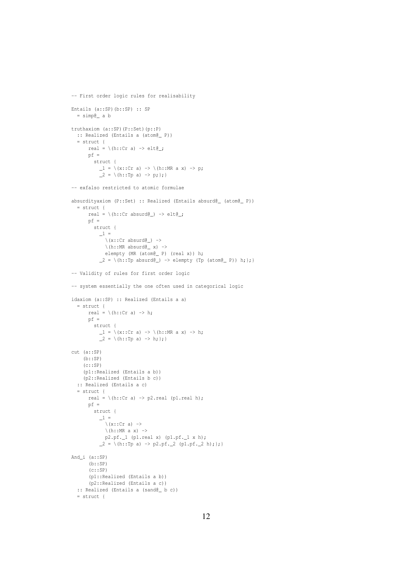```
-- First order logic rules for realisability
Entails (a::SP)(b::SP) :: SP
 = simp@_ a b
truthaxiom (a::SP)(P::Set)(p::P)
 :: Realized (Entails a (atom@_ P))
  = struct {
      real = \hbar(h::Cr a) -> elt\ell;
      pf =struct {
           1 = \{ (x: : Cr a) \rightarrow \{ (h: : MR a x) \rightarrow p;2 = \{h: f(p a) \rightarrow p; f\}-- exfalso restricted to atomic formulae
absurdityaxiom (P::Set) :: Realized (Entails absurd@_ (atom@_ P))
  = struct {
      real = \hbar(h::Cr absurd@_) -> elt@_;
      pf =struct {
           \overline{\phantom{0}} =
             \setminus(x::Cr absurd@) ->
             \hbar (h::MR absurd\ell x) ->
             elempty (MR (atom@_ P) (real x)) h;
           \angle = \(h::Tp absurd@_) -> elempty (Tp (atom@_ P)) h; };}
-- Validity of rules for first order logic
-- system essentially the one often used in categorical logic
idaxiom (a::SP) :: Realized (Entails a a)
  = struct {
      real = \hbar (h::Cr a) -> h;
      pf =struct {
          1 = \{ (x::Cr a) \rightarrow \{ (h::MR a x) \rightarrow h;2 = \{(h::Tp a) \rightarrow h; \};cut (a::SP)
    (b::SP)(c::SP)(p1::Realized (Entails a b))
    (p2::Realized (Entails b c))
  :: Realized (Entails a c)
  = struct {
      real = \langle h::Cr a \rangle \rightarrow p2.read (pl.read h);pf =struct {
           -1 =\setminus (x::Cr a) ->
            \langle h::MR a x \rangle ->
            p2.pf._1 (p1.real x) (p1.pf._1 x h);
           \_2 = \{(h::Tp a) \rightarrow p2.pf. 2 (p1.pf. 2 h); \}And_i (a::SP)
       (b::SP)(c::SP)(p1::Realized (Entails a b))
      (p2::Realized (Entails a c))
  :: Realized (Entails a (sand@_ b c))
  = struct {
```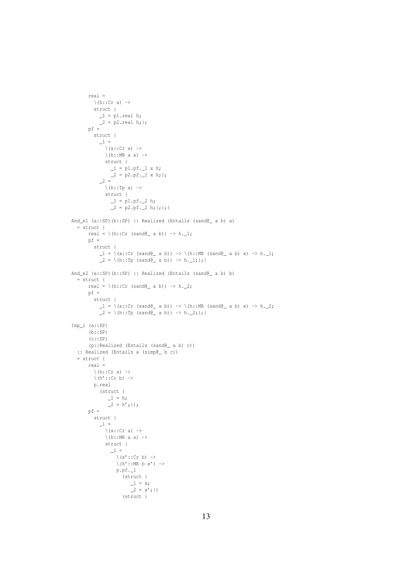```
real =
          \langle (h::Cr a) ->
          struct {
            _1 = p1.real h;
           \frac{1}{2} = p2.real h; };
       pf =struct {
            \overline{\phantom{a}} =
              \setminus (x::Cr a) ->
              \setminus (h::MR a x) ->
              struct {
                 _1 = p1.pf.1 x h;2 = p2.pf.1 x h;2 =\langle (h::Tp a) ->
               struct {
                 _1 = p1.pf.2 h;\frac{-1}{2} = p2.pf. 2 h; }; }; }
And_e1 (a::SP)(b::SP) :: Realized (Entails (sand@_ a b) a)
  = struct {
       real = \hbar::Cr (sand@_ a b)) -> h.1;
       pf =struct {
            1 = \{ (x::Cr \ (sand@ a b)) \rightarrow \{(h::MR \ (sand@ a b) x) \rightarrow h.1;\frac{1}{2} = \{(h:TP \text{ (sand}\_{a} b)) \rightarrow h.\_{1};\}And_e2 (a::SP)(b::SP) :: Realized (Entails (sand@_ a b) b)
  = struct {
      real = \(h::Cr (sand@_ a b)) -> h._2;
       pf =struct {
             1 = \{(x::Cr \ (sand \ell_a b)) \rightarrow \{(h::MR \ (sand \ell_a b) x) \rightarrow h.2\}2 = \{(h::Tp (sand@_ a b)) \rightarrow h._2; \};Imp_i (a::SP)
       (b::SP)
       (c::SP)(p::Realized (Entails (sand@_ a b) c))
  :: Realized (Entails a (simp@_ b c))
  = struct {
       real =
          \langle h::Cr a \rangle \rightarrow\langle (h'::Cr b) ->
          p.real
            (struct {
                1 = h;2 = h';pf =struct {
            \boxed{1} =
              \setminus (x::Cr a) ->
              \langle h::MR \space a \space x \rangle \rightarrowstruct {
                 \_1 =\backslash (x'::Cr b) \rightarrow\backslash (h'::MR b x') ->
                   p.pf._1
                      (struct {
                          1 = x;2 = x';(struct {
```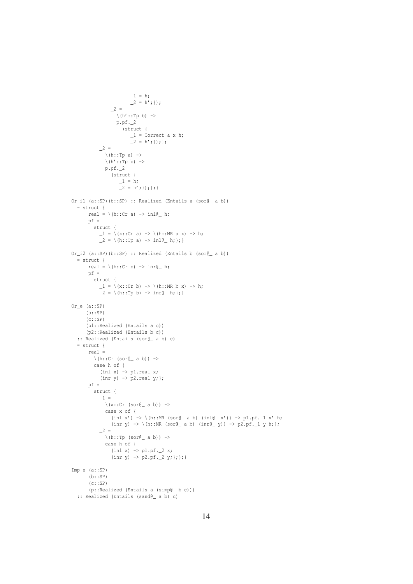```
1 = h;\frac{-}{2} = h'; });
                      2 =\backslash\left( h^{\prime}::{\rm Tp}\;\;b\right)\;\;\rightarrow% \;\;\left( h^{\prime}::{\rm Tp}\;\;b\right) \;\;t\mapsto\;\;t\mapsto\;\;t\mapsto\;\;t\mapsto\;\;t\mapsto\;\;t\mapsto\;\;t\mapsto\;\;t\mapsto\;\;t\mapsto\;\;t\mapsto\;\;t\mapsto\;\;t\mapsto\;\;t\mapsto\;\;t\mapsto\;\;t\mapsto\;\;t\mapsto\;\;t\mapsto\;\;t\mapsto\;\;t\mapsto\;\;t\mapsto\;\;t\mapsto\;\;t\mapsto\;\;t\mapsto\;\;t\mapsto\;\;p.pf._2
                            (struct {
                                 _1 = Correct a x h;
                                 -2 = h';});
                2 =\setminus (h::Tp a) ->
                   \langle (h'::Tp b) \rangle ->
                   p.pf._2
                      (struct {
                            1 = h;2 = h';}); }; }
Or_i1 (a::SP)(b::SP) :: Realized (Entails a (sor@_ a b))
   = struct {
          real = \hbar (h::Cr a) -> inl@_ h;
         pf =struct {
                \_1 = \setminus (x::Cr \text{ a}) \rightarrow \setminus (h::MR \text{ a } x) \rightarrow h;\frac{1}{2} = \{(h:tp a) \rightarrow inl@ \; h; \};\}Or_i2 (a::SP)(b::SP) :: Realized (Entails b (sor@_ a b))
   = struct {
         real = \hbar (h::Cr b) -> inr@_ h;
         pf =struct {
                 1 = \{ (x::Cr b) \rightarrow \{(h::MR b x) \rightarrow h;\_2 = \{h: f(p) \rightarrow \text{inr} \in \ h; \};Or_e (a::SP)
        (b::SP)
        (c::SP)(p1::Realized (Entails a c))
        (p2::Realized (Entails b c))
   :: Realized (Entails (sor@_ a b) c)
   = struct {
          real =
             \setminus(h::Cr (sor\ell a b)) ->
            case h of {
                 (int x) \rightarrow pl.read x;(\text{inr } y) \rightarrow p2.\text{real } y;pf =
            struct {
                \boxed{1} =
                   \setminus(x::Cr (sor\ell_a a b)) ->
                   case x of {
                      (inl x') -> \(h::MR (sor@_ a b) (inl@_ x')) -> p1.pf._1 x' h;
                      (inr y) \rightarrow \backslash (h::MR (sor\ell_a a b) (inr\ell_y)) \rightarrow p2.pf. 1 y h; };
                2 =\setminus(h::Tp (sor@ a b)) ->
                   case h of {
                      (int x) \rightarrow p1.pf.2 x;(inr y) \rightarrow p2.pf._2 y; }; }; }
Imp_e (a::SP)
         (b::SP)
          (c::SP)
          (p::Realized (Entails a (simp@_ b c)))
   :: Realized (Entails (sand@_ a b) c)
```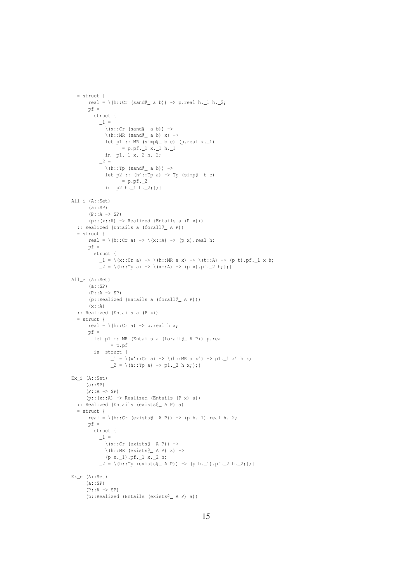```
real = \(h::Cr (sand@_ a b)) -> p.real h._1 h._2;
       pf =struct {
           \mathbf{1} =
               \setminus(x::Cr (sand\ell a b)) ->
               \hbox{th::MR} (sand \ell a b) x) ->
              let p1 :: MR (simp\ell b c) (p.real x. 1)
                      = p.pf._1 x._1 h._1
               in p1._1 x._2 h._2;
            2 =\setminus(h::Tp (sand@ a b)) ->
              let p2 :: (h':Tp a) \rightarrow tp (simple_b c)= p.p.f._2in p2 h. 1 h. 2; }All_i (A::Set)
       (a::SP)
       (P: : A \rightarrow SP)(p::(x::A) \rightarrow Realized (Entails a (P x))):: Realized (Entails a (forall@_ A P))
   = struct {
       real = \langle h::Cr\ a\rangle \rightarrow \langle x::A\rangle \rightarrow \langle p\ x\rangle. real h;
       pf =struct {
            1 = \{ (x::Cx a) \rightarrow \{(h::MR a x) \rightarrow \{(t::A) \rightarrow (p t).pf. 1 x h\}\angle = \(h::Tp a) -> \(x::A) -> (p x).pf.\angle2 h; };}
All_e (A::Set)
       (a::SP)(P: : A \rightarrow SP)(p::Realized (Entails a (forall@_ A P)))
       (x::A):: Realized (Entails a (P x))
   = struct {
       real = \hbar (h::Cr a) -> p.real h x;
       pf =let p1 :: MR (Entails a (forall@ A P)) p.real
                = p.pf
         in struct {
                 1 = \{ (x' : : Cr a) \rightarrow \{(h : : MR a x') \rightarrow pl \cdot 1 x' h x; \}2 = \{h: f(p a) \rightarrow p1.2 h x; \}Ex_i (A::Set)
      (a::SP)(P::A \rightarrow SP)(p::(x::A) \rightarrow Realized (Entails (P x) a)):: Realized (Entails (exists@_ A P) a)
  = struct {
       real = \hbar (h::Cr (exists@_ A P)) -> (p h._1).real h._2;
       pf =struct {
            \_1 =\setminus(x::Cr (exists@_ A P)) ->
              \hbox{th::MR} (exists@_ A P) x) ->
              (p x._1).pf._1 x._2 h;
            \angle = \(h::Tp (exists@_ A P)) -> (p h.\angle1).pf.\angle2 h.\angle2;};}
Ex_e (A::Set)
      (a::SP)
      (P::A \rightarrow SP)(p::Realized (Entails (exists@_ A P) a))
```
 $=$  struct {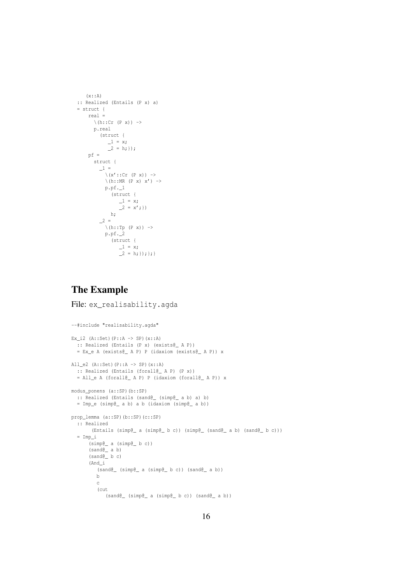```
(x::\mathbb{A}):: Realized (Entails (P x) a)
= struct {
     real =
        \setminus (h: : \texttt{Cr} (P x)) \;\; \rightarrowp.real
            (struct {
               -1 = x;-2 = h; } };
     pf =struct {
           -1 =\setminus (x'::Cr (P x)) \rightarrow\langle h::MR (P x) x' \rangle ->
             p.pf._1
                 (struct {
                   _1 = x;\frac{-}{2} = x';h;
            2 =\backslash\left(\text{h}:\texttt{:Tp (P x)}\right)\rightarrowp.pf._2
                 (struct {
                     -1 = x;\begin{bmatrix} 2 & = & h; \end{bmatrix}; }; }
```
### The Example

File: ex\_realisability.agda

```
--#include "realisability.agda"
Ex_i2 (A::Set)(P::A \rightarrow SP)(x::A)
 :: Realized (Entails (P x) (exists@_ A P))
  = Ex_e A (exists@_ A P) P (idaxiom (exists@_ A P)) x
All e2 (A::Set) (P::A \rightarrow SP) (x::A):: Realized (Entails (forall@_ A P) (P x))
  = All_e A (forall@_ A P) P (idaxiom (forall@_ A P)) x
modus_ponens (a::SP)(b::SP)
 :: Realized (Entails (sand@_ (simp@_ a b) a) b)
  = Imp_e (simp@_ a b) a b (idaxiom (simp@_ a b))
prop_lemma (a::SP)(b::SP)(c::SP)
  :: Realized
      (Entails (simp@_ a (simp@_ b c)) (simp@_ (sand@_ a b) (sand@_ b c)))
  = Imp_i
      (simp@_ a (simp@_ b c))
      (sand@_ a b)
      (sand@_ b c)
      (And_i
         (sand@_ (simp@_ a (simp@_ b c)) (sand@_ a b))
         b
         c
         (cut
            (sand@_ (simp@_ a (simp@_ b c)) (sand@_ a b))
```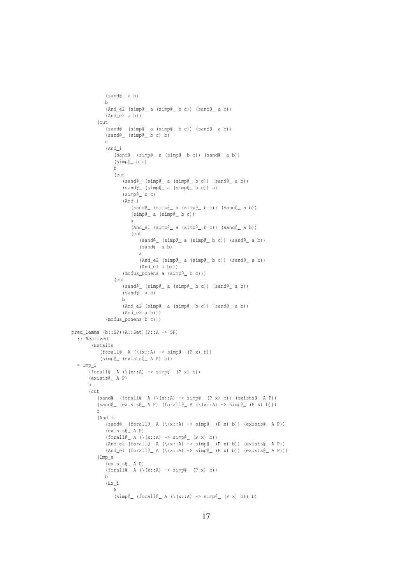```
(sand@_ a b)
            b
            (And_e2 (simp@_ a (simp@_ b c)) (sand@_ a b))
             (And_e2 a b))
         (cut
             (sand@_ (simp@_ a (simp@_ b c)) (sand@_ a b))
             (sand@_ (simp@_ b c) b)
            c
            (And_i
                (sand@_ (simp@_ a (simp@_ b c)) (sand@_ a b))
                (simp@_ b c)
               b
                (cut
                   (sand@ (simp@ a (simple_b c)) (sand@ a b))(sand@ (simp@ a (simp@ b c) a)(simp@_ b c)
                   (And_i
                      (sand@_ (simp@_ a (simp@_ b c)) (sand@_ a b))
                      (simp@_ a (simp@_ b c))
                      a
                      (And_e1 (simp@_ a (simp@_ b c)) (sand@_ a b))
                      (cut
                         (sand@_ (simp@_ a (simp@_ b c)) (sand@_ a b))
                         (sand@_ a b)
                         a
                         (And_e2 (simp@_ a (simp@_ b c)) (sand@_ a b))
                         (And_e1 a b)))
                   (modus_ponens a (simp@_ b c)))
                (cut
                   (sand@_ (simp@_ a (simp@_ b c)) (sand@_ a b))
                   (sand@_ a b)
                  b
                   (And_e2 (simple_ a (simple_b c)) (sand_e a b))(And_e2 a b)))
             (modus_ponens b c)))
pred_lemma (b::SP)(A::Set)(P::A -> SP)
  :: Realized
       (Entails
          (forall@_ A (\(x::A) \rightarrow simple_ (P x) b))(simp@_ (exists@_ A P) b))
  = Imp_i
      (forall@_ A (\{(x::A) \rightarrow simple_ (P x) b))(exists@_ A P)
      b
      (cut
         (sand@ (foral@ A (\{x::A) \rightarrow simple (P x) b) (exists@ A P)(sand@ (exists@ A P) (foral@ A (\{x::A) \rightarrow simp@ (P x) b)))b
         (And_i
            (sand@ (foral@ A \ (\\(x::A) \rightarrow simple (P x) b) (exists@ A P)(exists@_ A P)
             (forall@_ A (\(x::A) \rightarrow simple_ (P x) b))(And_e2 (for all @ A (<math>(x::A) \rightarrow simple (P x)</math>) (exists @ A P))(And_e1 (for all@A (\(x::A) \rightarrow simple (P x) b)) (exists@A P)))(Imp_e
             (exists@_ A P)
             (forall@_ A (\(x::A) \rightarrow simple_{(P x) b})b
            (Ex_i
               A
                (simp@ (forall@_A (\(x::A) -> simp@_ (P x) b)) b)
```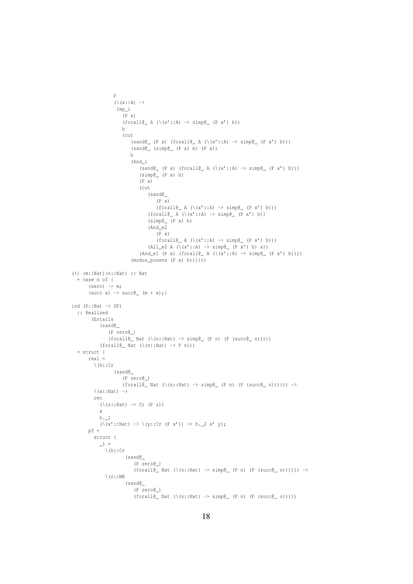```
P
                   (\setminus (x: : A) \rightarrowImp_i
                      (P x)
                      (forall@_ A (\(x'::A) \rightarrow simple_ (P x') b))b
                      (cut
                          (sand@ (P x) (for all@ A (\(x'::A) \rightarrow simple (P x') b)))(sand@_{\_}(simple_{\_}(P x) b) (P x))b
                          (And_i
                              (\verb|sand@_(P x) (for all@_ A (\verb|\(x'::A) -> simple_(P x') b)))(simp@_ (P x) b)
                              (P \times)(cut
                                 (sand@_
                                     (P x)
                                     (forall@_ A (\(x'::A) \rightarrow simple_ (P x') b)))(forall@_ A (\(x'::A) \rightarrow simple_ (P x') b))(simp@_ (P x) b)
                                 (And_e2
                                     (P x)
                                     (forall@ A (\(x'::A) \rightarrow simple (P x') b)))(All_e2 A (\{x'::A\} -> simp\ell (P x') b) x))
                              (And_e1 (P x) (for all @A (\{x'::A) \rightarrow simple_ (P x') b))))(modus_ponens (P x) b))))))
(+) (m::Nat)(n::Nat) :: Nat
   = case n of {
       (zero) \rightarrow m;(\text{succ x}) \rightarrow \text{succ} \text{m + x};ind (P::Nat -> SP):: Realized
        (Entails
            (sand@_
                (P zero@_)
                (forall@_ Nat (\n(n::Nat) \rightarrow simple_ (P n) (P (succ@_ n))))(forall@_ Nat (\n(n::Nat) \rightarrow P n)))= struct {
       real =
         \setminus (h::Cr
                   (sand@_
                      (P zero@_)
                      (forall@_ Nat (\n( n::Nat) \rightarrow simple_ (P n) (P (succ@_ n)))) ) \rightarrow\setminus (x::Nat) ->
          rec
            (\setminus (z::Nat) \rightarrow Cr (P z))x
            h._1
            (\forall (x'::Nat) \rightarrow \forall (y::Cx (P x')) \rightarrow h.2 x' y);pf =struct {
            -1 =\setminus(h::Cr
                       (sand@_
                           (P zero@_)
                           (forall \infty) (forall@_Nat (\(n::Nat) -> simp@_ (P n) (P (succ@_ n)))))) ->
              \setminus (r::MR
                       (sand@_
                           (P zero@_)
                            (forall@_ Nat (\n( n::Nat) \rightarrow simple_ (P n) (P (succ@_ n))))
```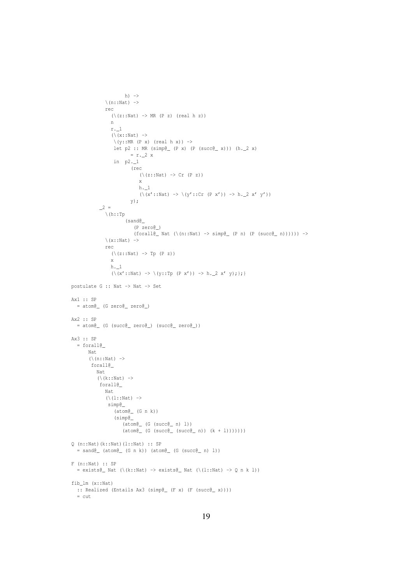```
h) \rightarrow\langle n::Nat \rangle ->
               rec
                 (\setminus (z::Nat) \rightarrow MR (P z) (real h z))n
                 r._1
                 (\setminus (x::Nat) ->
                   \setminus(y::MR (P x) (real h x)) ->
                  let p2 :: MR (simp\ell (P x) (P (succ\ell x))) (h. 2 x)
                          = r.2 xin p2._1
                          (rec
                              (\setminus (z::Nat) \rightarrow Cr (P z))x
                             h._1
                              (\x^{'}::\mathtt{Nat}) \rightarrow (\y'::\mathtt{Cr} (\mathtt{P} \mathtt{x}') ) \rightarrow \mathtt{h.2} \mathtt{x' y'})y);
            2 =\setminus (h::Tp
                        (sand@_
                            (P zero@_)
                            (forall@_ Nat (\n( n::Nat) \rightarrow simple_ (P n) (P (succ@_ n)))) ) \rightarrow\setminus(x::Nat) ->
               rec
                 (\setminus (z::Nat) \rightarrow Tp (P z))x
                 h._1
                 (\(x'::Nat) -> \(y::Tp (P x')) -> h._2 x' y);};}
postulate G :: Nat -> Nat -> Set
Ax1 :: SP
  = atom@_ (G zero@_ zero@_)
Ax2 :: SP
  = atom@_ (G (succ@_ zero@_) (succ@_ zero@_))
Ax3 :: SP
  = forall@
       Nat
       (\setminus (n::Nat) ->
        forall@_
          Nat
           (\setminus (k::Nat) ->
            forall@_
              Nat
               (\{1: : \mathbb{N}at) \rightarrow \emptyset\})simp@_
                  (atom@_ (G n k))
                   (simp@_
                      (atom@_ (G (succ@_ n) l))
                      (\texttt{atom@\_ (G (succ@\_ (succ@\_ n)) (k + 1))))))Q (n::Nat)(k::Nat)(l::Nat) :: SP
  = sand@ (atom@ (G n k)) (atom@ (G (succ@ n) l))
F (n::Nat) :: SP
  = exists\ell Nat (\(k::Nat) -> exists\ell Nat (\(l::Nat) -> Q n k l))
fib_lm (x::Nat)
  :: Realized (Entails Ax3 (simp@_ (F x) (F (succ@_ x))))
  = cut
```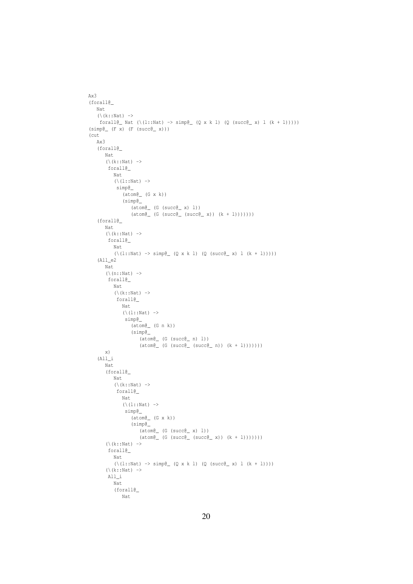```
Ax3
(forall@_
    Nat
    (\setminus (k::Nat) ->
     forall@_ Nat (\{(1::Nat) \rightarrow simple_ (Q x k 1) (Q (succ@_ x) 1 (k + 1))))(simp@_{p}(F x) (F (succ@_{p} x)))(cut
    Ax3
    (forall@_
        Nat
        (\setminus (k::Nat) ->
         forall@_
            Nat
            (\{1: : \mathbb{N}at\}) ->
             simp@_
                 (atom@_ (G x k))
                 (simp@_
                     (\text{atom@}_{\_} (G (succ@_{\_} x) 1))(\text{atom@}_{\_} (G (succ\text{@}_{\_} (succ\text{@}_{\_} x)) (k + 1)))))))
    (forall@_
        Nat
         (\setminus (k::Nat) ->
         forall@_
           Nat
            (\{1: : \text{Nat}) \rightarrow \text{simp} \subseteq (\text{Q x k l}) \quad (\text{Q (succ)} \subseteq x) \quad l \quad (k + 1))))(A11 e2)Nat
         (\setminus (n::Nat) ->
          forall@_
           Nat
            (\setminus (k::Nat) ->
             forall@_
                Nat
                 (\{1::Nat) ->
                  simp@_
                     (atom@_ (G n k))
                     (simp@_
                          (atom@_ (G (succ@_ n) l))
                          (\text{atom@}_{\text{__}} (G (succ\text{@}_{\text{__}} (succ\text{@}_{\text{__}} n)) (k + l)))))))
        x)
    (All_i
        Nat
        (forall@_
            Nat
             (\setminus (k::Nat) ->
             forall@_
                Nat
                 (\setminus (l::Nat) ->
                  simp@_
                     (\text{atom@}_{\_} (G \times k))(simp@_
                          (\text{atomic} (G (\text{succ@} x) l))
                          (\text{atom@}_{\_} (G (succ(\_ (succ(\_ x)) (k + 1)))))))
         (\setminus (k::Nat) ->
         forall@_
            Nat
             (\{(1:Nat) \rightarrow simple_{(Q \times k 1) (Q (succ@_{X}) 1 (k + 1))))})(\setminus (k::Nat) ->
         All_i
            Nat
            (forall@_
                Nat
```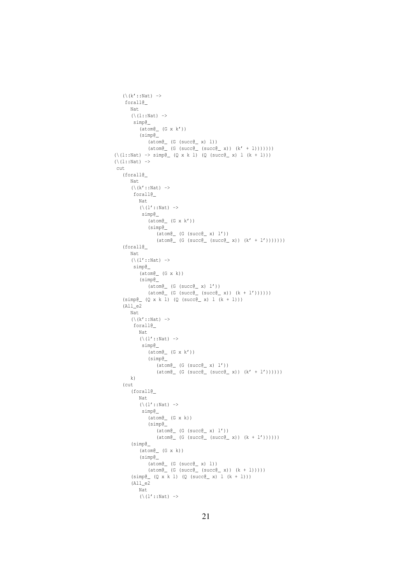```
(\kappa':: \mathtt{Nat}) \rightarrowforall@_
       Nat
        (\{1::Nat) ->
         simp@_
            (atom@_ (G x k'))
            (simp@_
                (\text{atom@}_{\_} (G (succ@_{\_} x) 1))(\text{atom@}_{\text{__}} (G (succ\text{@}_{\text{__}} (succ\text{@}_{\text{__}} x)) (k' + 1))))))))(\{1::Nat) \rightarrow simple_ (Q x k 1) (Q (succ@_ x) 1 (k + 1)))(\setminus (1::\mathtt{Nat}) \rightarrowcut
    (forall@_
        Nat
        (\kappa'::Nat) ->
         forall@_
           Nat
            (\{1':: \mathbb{N}at\}) ->
             simp@_
                (atom@_ (G x k'))
                 (simp@_
                     (atom@_ (G (succ@_ x) l'))
                     (\text{atom@}_{\text{__}} (G (succ\text{@}_{\text{__}} (succ\text{@}_{\text{__}} x)) (k' + l')))))))
    (forall@_
       Nat
        (\backslash (l'::Nat) \rightarrowsimp@_
            (\texttt{atom@}_{\_} (G x k))
            (simp@_
                 (atom@_ (G (succ@_ x) l'))
                 (\text{atom@}_{\text{__}} (G (succ\text{@}_{\text{__}} (succ\text{@}_{\text{__}} x)) (k + l'))))))
    (simp@_{_p} (Q x k l) (Q (succ@_{_p} x) l (k + l)))(All_e2
       Nat
        (\backslash(k'::Nat) ->
         forall@_
           Nat
            (\{1':: \mathbb{N}at\}) ->
             simp@_
                (atom@_ (G x k'))
                 (simp@_
                     (\text{atom@}_{\_} (G (succ@_{\_} x) 1'))
                     (\text{atom@}_{\text{__}} (G (succ(\text{succ@}_{\text{__}} x)) (k' + l'))))))
       k)
    (cut
        (forall@_
            Nat
            (\setminus (l'::Nat) ->
             simp@_
                (\text{atom@}_{\_} (G \times k))(simp@_
                    (atom@_ (G (succ@_ x) l'))
                     (\texttt{atom@\_ (G (succ@\_ (succ@\_ x)) (k + l')))))(simp@_
            (atom@_ (G x k))
            (simp@_
                 (atom@_ (G (succ@_ x) l))
                 (\text{atom@}_{\text{__}} (G (succ(\text{succ@}_{\text{__}} x)) (k + 1)))))(simp@ (Q x k l) (Q (succ@ x) l (k + l)))(A11_e2Nat
            (\backslash (1'::\mathtt{Nat}) \rightarrow
```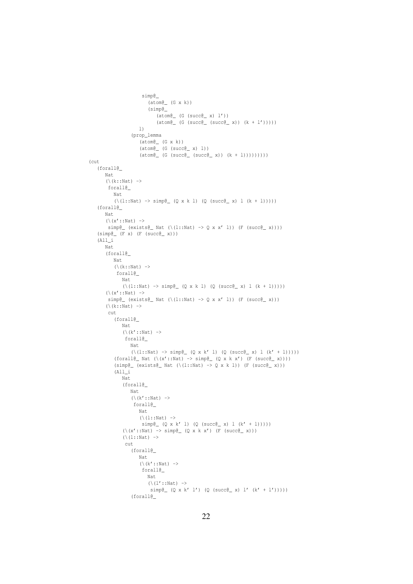```
simp@_
                              (\text{atom@}_{\_} (G \times k))(simp@_
                                 (\texttt{atom@}_{\_} (G (\texttt{succ@}_{\_} x) 1'))(\text{atom@}_{\_} (G (succ\text{@}_{\_} (succ\text{@}_{\_} x)) (k + l')))))
                         l)
                     (prop_lemma
                         (\texttt{atom@}_{\_} (G x k))
                          (\text{atomic} (G (\text{succ@} x) l))
                          (\text{atom@}_{\text{__}} (G (succ\text{@}_{\text{__}} (succ\text{@}_{\text{__}} x)) (k + 1)))))))))
(cut
    (forall@_
        Nat
        (\setminus (k::Nat) ->
         forall@_
           Nat
            (\{1::Nat) \rightarrow simple_{0}(Q \times k 1) (Q (succ@_{0} x) 1 (k + 1))))(forall@_
        Nat
        (\setminus (x'::Nat) \rightarrowsimp@{\_ (exists@{\_ Nat (\\(1::Nat) -> Q x x' 1)) (F (succ@{_< x})))})(simp@_{p}(F x) (F (succ@_{p} x)))(A11)Nat
        (forall@_
            Nat
            (\setminus (k::Nat) ->
             forall@_
                Nat
                (\{(1::Nat) \rightarrow simp@ (Q x k l) (Q (succ@ x) l (k + 1))))(\{x':: \mathbb{N}at\}) ->
         simp\mathbb{C} (exists\mathbb{C} Nat (\(l::Nat) -> Q \times x' l)) (F (succ\mathbb{C} x)))
        (\setminus (k::Nat) ->
         cut
            (forall@_
                Nat
                 (\setminus (k'::Nat) ->
                  forall@_
                    Nat
                     (\{(1::Nat) \rightarrow simple_{(Q \times k' 1) (Q (succ@_{X}) 1 (k' + 1))))})(forall@_Nat (\xleftarrow{(x':NAt) \rightarrow simple_{\Box} (Q x k x') (F (succ@_{\Box} x))))(simp@ (exists@ Nat (\\(l::Nat) \rightarrow Q x k l)) (F (succ@ N))(All_i
                Nat
                (forall@_
                     Nat
                     (\backslash (k'::Nat) ->
                      forall@_
                         Nat
                         (\setminus (1::\mathtt{Nat}) \rightarrowsimp(\_ (Q \times k' 1) (Q (succ(\_ x) 1 (k' + 1))))(\x^{(x)}:X) \rightarrow \text{simp}(\xrightarrow{Q} X X X') (F (succ(\xrightarrow{X})))
                 (\setminus (1::\mathtt{Nat}) \rightarrowcut
                     (forall@_
                        Nat
                         (\backslash (k'::Nat) ->
                          forall@_
                             Nat
                             (\backslash (\downarrow'::Nat) ->
                               simp(Q \times k' 1') (Q (succ(Q \times k' 1'))
                     (forall@_
```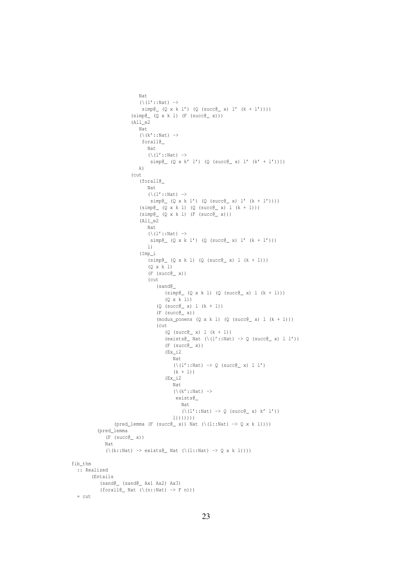```
Nat
                           (\{1':: \mathbb{N}at\}) ->
                            simp(\ Q \ x \ k \ l') (Q (succ\ Q \ x) l' (k + l'))))
                        (simp@_{_2} (Q x k l) (F (succ@_{_2} x)))(All_e2
                           Nat
                           (\kappa'::Nat) ->
                            forall@_
                              Nat
                               (\setminus (l'::Nat) \rightarrowsimp@ (Q x k' l') (Q (succ@ x) l' (k' + l'))))
                           k)
                        (cut
                           (forall@_
                              Nat
                               (\ (1'::Nat) \rightarrowsimp@ (Q x k l') (Q (succ@ x) l' (k + l'))))
                            (simp@_{_2} (Q x k l) (Q (succ@_{_2} x) l (k + l)))(simp@_{_}(Q x k l) (F (succ@_{_} x)))(All_e2
                               Nat
                               (\ (1'::Nat) \rightarrowsimp@ (Q x k l') (Q (succ@_ x) l' (k + l')))
                               l)
                            (Imp_i
                               (simp@ (Q x k l) (Q (succ@ x) l (k + l)))(Q x k l)
                               (F (succ@_ x))(cut
                                  (sand@_
                                      (simp@ (Q x k l) (Q (succ@ x) l (k + l)))(Q x k l))
                                   (Q (succ@_ x) l (k + l))
                                   (F (succ@_ x))(modus\_ponens (Q x k l) (Q (succ@_ x) l (k + l)))(cut
                                      (Q (succ@_ x) 1 (k + 1))(exists@_ Nat (\setminus (l'::Nat) \rightarrow Q (succ@_ x) l l') )(F (succ@_ x))(Ex_i2
                                         Nat
                                          (\setminus (l'::Nat) \rightarrow Q \text{ (succ@\_ x)} l l')(k + 1))
                                      (Ex_i2
                                         Nat
                                         (\backslash (k'::Nat) ->
                                          exists@_
                                            Nat
                                             (\backslash (l'::Nat) \rightarrow Q (succ@_ x) k' l')l)))))))
                 (pred_lemma (F (succ(g)) Nat (\iota(l::Nat) -> Q x k l))))
          (pred_lemma
             (F (succ@_ x))
             Nat
             (\{(k::Nat) \rightarrow exists) Nat (\{(1::Nat) \rightarrow Q \times k 1))))fib_thm
  :: Realized
        (Entails
           (sand@_ (sand@_ Ax1 Ax2) Ax3)
           (forall@_ Nat (\n( n::Nat) \rightarrow F n)))= cut
```

```
23
```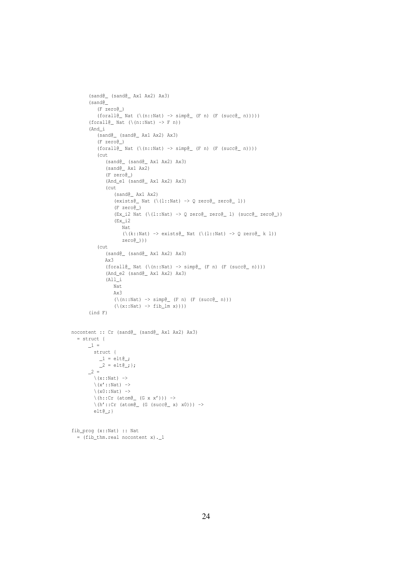```
(sand@_ (sand@_ Ax1 Ax2) Ax3)
       (sand@_
          (F zero@_)
          (forall@_ Nat (\n( n::Nat) \rightarrow simple_ (F n) (F (succ@_ n))))(forall@_ Nat (\n( n::Nat) \rightarrow F n))(And_i
           (sand@_ (sand@_ Ax1 Ax2) Ax3)
          (F zero@_)
           (forall@_ Nat (\n(n::Nat) \rightarrow simple_ (F n) (F (succ@_ n))))(cut
             (sand@_ (sand@_ Ax1 Ax2) Ax3)
              (sand@_ Ax1 Ax2)
              (F zero@_)
              (And_e1 (sand@_ Ax1 Ax2) Ax3)
              (cut
                 (sand@_ Ax1 Ax2)
                 (exists@_ Nat (\setminus (l::Nat) \rightarrow Q zero@_ zero@_ l))(F zero@_)
                  (Ex_i2 Nat (\(l::Nat) -> Q zero@_ zero@_ l) (succ@_ zero@_))
                  (Ex_i2
                     Nat
                     (\setminus (k::Nat) \rightarrow exists@ Nat (\setminus (l::Nat) \rightarrow O zero@ k 1))
                     zero@_)))
           (cut
              (sand@_ (sand@_ Ax1 Ax2) Ax3)
              Ax3
              (forall@_ Nat (\n(n::Nat) \rightarrow simple_ (F n) (F (succ@_ n))))(And_e2 (sand@_ Ax1 Ax2) Ax3)
              (All_i
                Nat
                 Ax3
                  (\{n::Nat) \rightarrow simple_{n} (F n) (F (succ@_{n} n))\}(\{x::Nat) \rightarrow fib_lm x)))(ind F)
nocontent :: Cr (sand@_ (sand@_ Ax1 Ax2) Ax3)
  = struct {
       \_1 =struct {
            1 = elt\theta_i;
            2 = elte_j ;
       2 =\setminus (x::Nat) ->
         \setminus(x'::Nat) ->
         \setminus(x0::Nat) ->
         \langle h::Cr \text{ (atom@_{_} (G x x')) }\rangle ->
         \hbar(h'::Cr (atom\ell (G (succ\ell x) x0))) ->
         elt@_;}
fib_prog (x::Nat) :: Nat
  = (fib_thm.real nocontent x)._1
```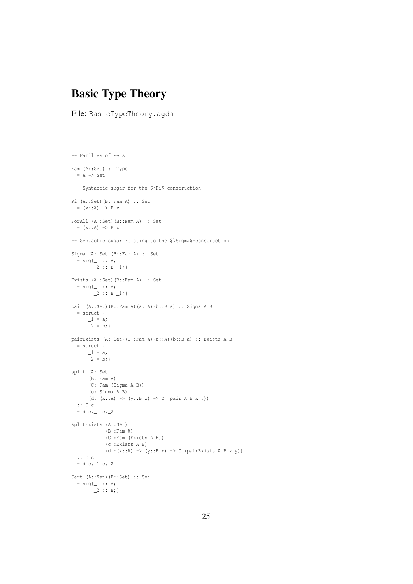## Basic Type Theory

File: BasicTypeTheory.agda

```
-- Families of sets
Fam (A::Set) :: Type
 = A -> Set
-- Syntactic sugar for the $\Pi$-construction
Pi (A::Set)(B::Fam A) :: Set
  = (x::A) \rightarrow B x
ForAll (A::Set)(B::Fam A) :: Set
  = (x::A) \rightarrow B x
-- Syntactic sugar relating to the $\Sigma$-construction
Sigma (A::Set)(B::Fam A) :: Set
  = sig{1 :: A;\_2 :: B \_1;Exists (A::Set)(B::Fam A) :: Set
  = \text{sig}\{\_1 : : A;\_2 :: B\_1;pair (A::Set)(B::Fam A)(a::A)(b::B a) :: Sigma A B
  = struct {
       1 = a;2 = b;pairExists (A::Set)(B::Fam A)(a::A)(b::B a) :: Exists A B
  = struct {
      1 = a;\frac{-}{2} = b;}split (A::Set)
      (B::Fam A)
      (C::Fam (Sigma A B))
      (c::Sigma A B)
      (d::(x::A) \rightarrow (y::B x) \rightarrow C (pair A B x y)):: C c
  = d c. 1 c. 2splitExists (A::Set)
             (B::Fam A)
             (C::Fam (Exists A B))
             (c::Exists A B)
             (d::(x::A) \rightarrow (y::B x) \rightarrow C (pairExists A B x y))
 :: C c
  = d c. 1 c. 2Cart (A::Set)(B::Set) :: Set
  = sig\{\_1 :: A;\_2 :: B;
```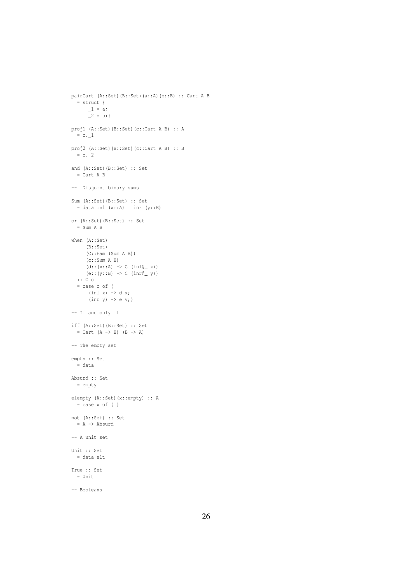```
pairCart (A::Set)(B::Set)(a::A)(b::B) :: Cart A B
  = struct {
       1 = a;2 = b;proj1 (A::Set)(B::Set)(c::Cart A B) :: A
  = c.1proj2 (A::Set)(B::Set)(c::Cart A B) :: B
 = c.2and (A::Set)(B::Set) :: Set
 = Cart A B
-- Disjoint binary sums
Sum (A::Set)(B::Set) :: Set
 = data inl (x::A) | inr (y::B)or (A::Set)(B::Set) :: Set
  = Sum A B
when (A::Set)
     (B::Set)
     (C::Fam (Sum A B))
     (c::Sum A B)
     (d::(x::A) \rightarrow C (inl@_ x))(e:: (y::B) \rightarrow C \space (inr@ \space w))
  :: C c
  = case c of {
      (int x) \rightarrow d x;(\text{inr } y) \rightarrow e y;-- If and only if
iff (A::Set)(B::Set) :: Set
 = Cart (A \rightarrow B) (B \rightarrow A)
-- The empty set
empty :: Set
 = data
Absurd :: Set
  = empty
elempty (A::Set)(x::empty) :: A
 = case x of { }
not (A::Set) :: Set
 = A -> Absurd
-- A unit set
Unit :: Set
 = data elt
True :: Set
  = Unit
```

```
-- Booleans
```